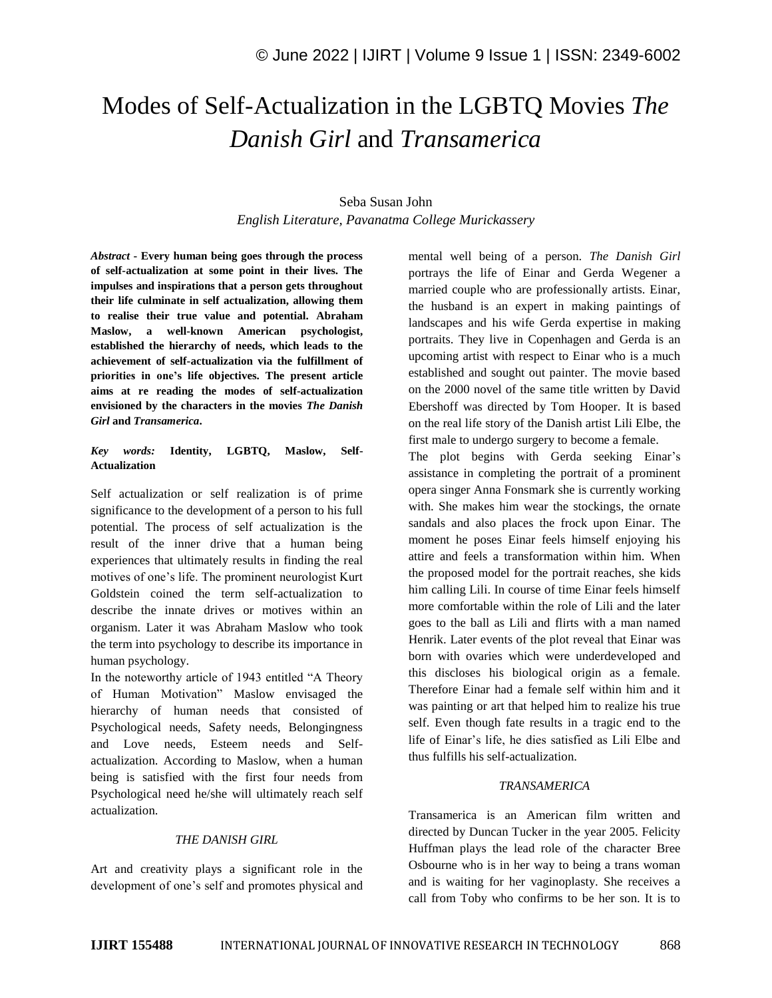# Modes of Self-Actualization in the LGBTQ Movies *The Danish Girl* and *Transamerica*

## Seba Susan John *English Literature, Pavanatma College Murickassery*

*Abstract* **- Every human being goes through the process of self-actualization at some point in their lives. The impulses and inspirations that a person gets throughout their life culminate in self actualization, allowing them to realise their true value and potential. Abraham Maslow, a well-known American psychologist, established the hierarchy of needs, which leads to the achievement of self-actualization via the fulfillment of priorities in one's life objectives. The present article aims at re reading the modes of self-actualization envisioned by the characters in the movies** *The Danish Girl* **and** *Transamerica***.**

## *Key words:* **Identity, LGBTQ, Maslow, Self-Actualization**

Self actualization or self realization is of prime significance to the development of a person to his full potential. The process of self actualization is the result of the inner drive that a human being experiences that ultimately results in finding the real motives of one's life. The prominent neurologist Kurt Goldstein coined the term self-actualization to describe the innate drives or motives within an organism. Later it was Abraham Maslow who took the term into psychology to describe its importance in human psychology.

In the noteworthy article of 1943 entitled "A Theory of Human Motivation" Maslow envisaged the hierarchy of human needs that consisted of Psychological needs, Safety needs, Belongingness and Love needs, Esteem needs and Selfactualization. According to Maslow, when a human being is satisfied with the first four needs from Psychological need he/she will ultimately reach self actualization.

## *THE DANISH GIRL*

Art and creativity plays a significant role in the development of one's self and promotes physical and mental well being of a person. *The Danish Girl* portrays the life of Einar and Gerda Wegener a married couple who are professionally artists. Einar, the husband is an expert in making paintings of landscapes and his wife Gerda expertise in making portraits. They live in Copenhagen and Gerda is an upcoming artist with respect to Einar who is a much established and sought out painter. The movie based on the 2000 novel of the same title written by David Ebershoff was directed by Tom Hooper. It is based on the real life story of the Danish artist Lili Elbe, the first male to undergo surgery to become a female.

The plot begins with Gerda seeking Einar's assistance in completing the portrait of a prominent opera singer Anna Fonsmark she is currently working with. She makes him wear the stockings, the ornate sandals and also places the frock upon Einar. The moment he poses Einar feels himself enjoying his attire and feels a transformation within him. When the proposed model for the portrait reaches, she kids him calling Lili. In course of time Einar feels himself more comfortable within the role of Lili and the later goes to the ball as Lili and flirts with a man named Henrik. Later events of the plot reveal that Einar was born with ovaries which were underdeveloped and this discloses his biological origin as a female. Therefore Einar had a female self within him and it was painting or art that helped him to realize his true self. Even though fate results in a tragic end to the life of Einar's life, he dies satisfied as Lili Elbe and thus fulfills his self-actualization.

## *TRANSAMERICA*

Transamerica is an American film written and directed by Duncan Tucker in the year 2005. Felicity Huffman plays the lead role of the character Bree Osbourne who is in her way to being a trans woman and is waiting for her vaginoplasty. She receives a call from Toby who confirms to be her son. It is to